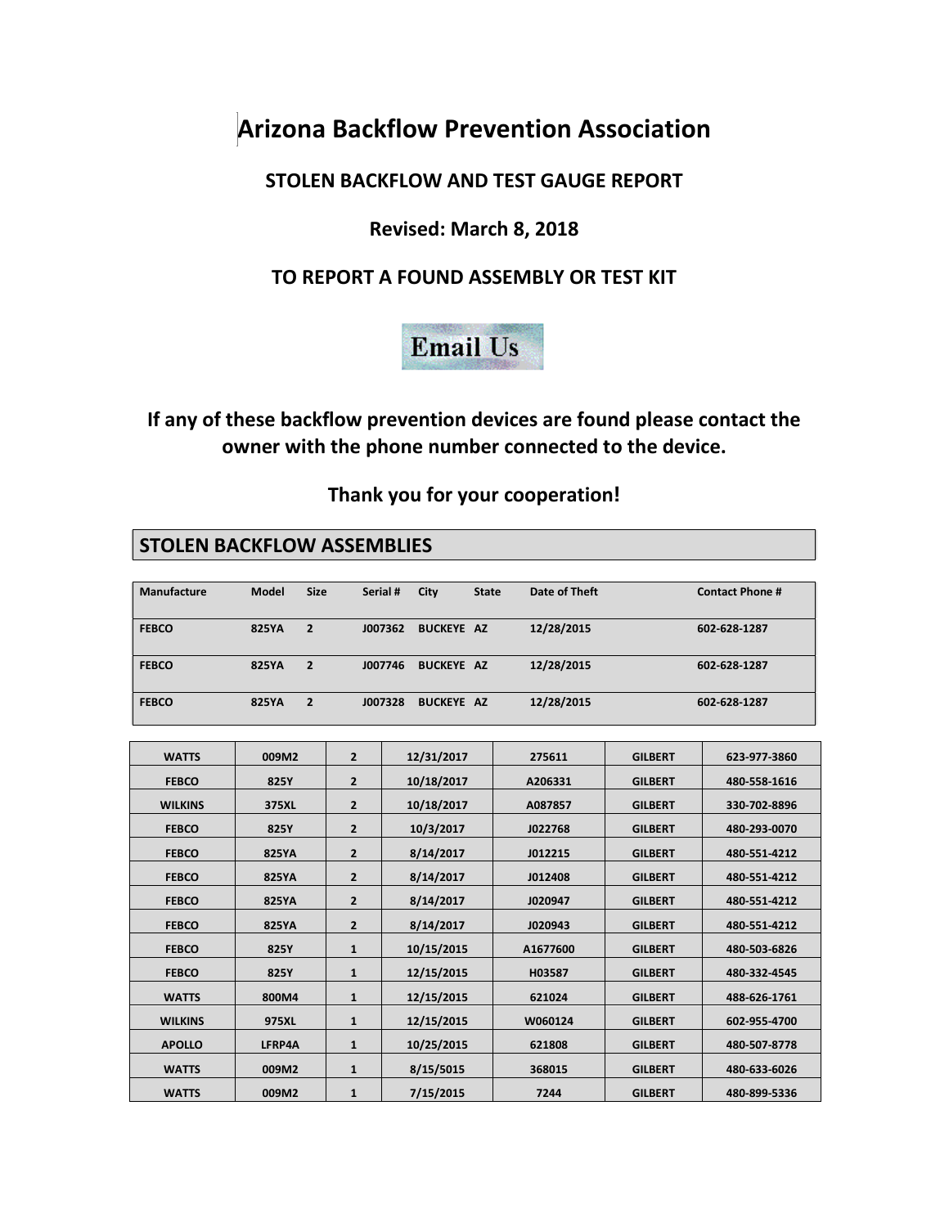# **Arizona Backflow Prevention Association**

#### **STOLEN BACKFLOW AND TEST GAUGE REPORT**

## **Revised: March 8, 2018**

## **TO REPORT A FOUND ASSEMBLY OR TEST KIT**



## **If any of these backflow prevention devices are found please contact the owner with the phone number connected to the device.**

#### **Thank you for your cooperation!**

#### **STOLEN BACKFLOW ASSEMBLIES**

| Manufacture  | <b>Model</b> | <b>Size</b> | Serial # | City              | <b>State</b> | Date of Theft | <b>Contact Phone #</b> |
|--------------|--------------|-------------|----------|-------------------|--------------|---------------|------------------------|
| <b>FEBCO</b> | <b>825YA</b> | 2           | J007362  | <b>BUCKEYE AZ</b> |              | 12/28/2015    | 602 628 1287           |
| <b>FEBCO</b> | <b>825YA</b> | 2           | J007746  | <b>BUCKEYE AZ</b> |              | 12/28/2015    | 602 628 1287           |
| <b>FEBCO</b> | <b>825YA</b> | 2           | J007328  | <b>BUCKEYE AZ</b> |              | 12/28/2015    | 602-628-1287           |

| <b>WATTS</b>   | 009M2         | $\overline{2}$ | 12/31/2017 | 275611   | <b>GILBERT</b> | 623-977-3860 |
|----------------|---------------|----------------|------------|----------|----------------|--------------|
| <b>FEBCO</b>   | 825Y          | $\overline{2}$ | 10/18/2017 | A206331  | <b>GILBERT</b> | 480-558-1616 |
| <b>WILKINS</b> | 375XL         | $\overline{2}$ | 10/18/2017 | A087857  | <b>GILBERT</b> | 330-702-8896 |
| <b>FEBCO</b>   | 825Y          | $\overline{2}$ | 10/3/2017  | J022768  | <b>GILBERT</b> | 480-293-0070 |
| <b>FEBCO</b>   | <b>825YA</b>  | $\overline{2}$ | 8/14/2017  | J012215  | <b>GILBERT</b> | 480-551-4212 |
| <b>FEBCO</b>   | <b>825YA</b>  | $\overline{2}$ | 8/14/2017  | J012408  | <b>GILBERT</b> | 480-551-4212 |
| <b>FEBCO</b>   | <b>825YA</b>  | $\overline{2}$ | 8/14/2017  | J020947  | <b>GILBERT</b> | 480-551-4212 |
| <b>FEBCO</b>   | <b>825YA</b>  | $\overline{2}$ | 8/14/2017  | J020943  | <b>GILBERT</b> | 480-551-4212 |
| <b>FEBCO</b>   | 825Y          | $\mathbf{1}$   | 10/15/2015 | A1677600 | <b>GILBERT</b> | 480-503-6826 |
| <b>FEBCO</b>   | 825Y          | $\mathbf{1}$   | 12/15/2015 | H03587   | <b>GILBERT</b> | 480-332-4545 |
| <b>WATTS</b>   | 800M4         | $\mathbf{1}$   | 12/15/2015 | 621024   | <b>GILBERT</b> | 488-626-1761 |
| <b>WILKINS</b> | 975XL         | $\mathbf{1}$   | 12/15/2015 | W060124  | <b>GILBERT</b> | 602-955-4700 |
| <b>APOLLO</b>  | <b>LFRP4A</b> | $\mathbf{1}$   | 10/25/2015 | 621808   | <b>GILBERT</b> | 480-507-8778 |
| <b>WATTS</b>   | 009M2         | $\mathbf{1}$   | 8/15/5015  | 368015   | <b>GILBERT</b> | 480-633-6026 |
| <b>WATTS</b>   | 009M2         | $\mathbf{1}$   | 7/15/2015  | 7244     | <b>GILBERT</b> | 480-899-5336 |